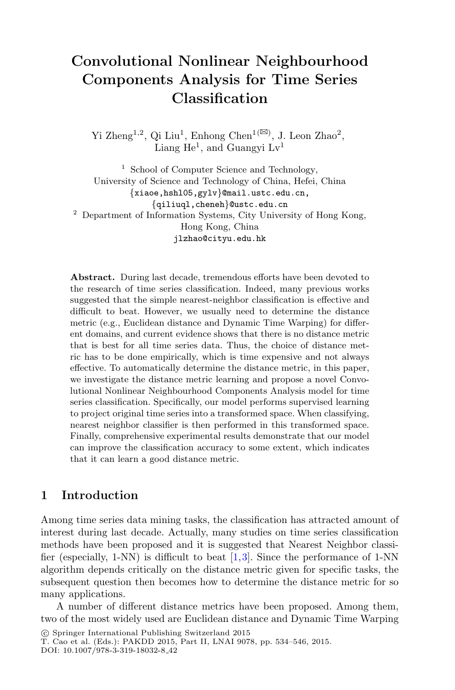# **Convolutional Nonlinear Neighbourhood Components Analysis for Time Series Classification**

Yi Zheng<br/>1,2, Qi Liu<sup>1</sup>, Enhong Chen $^{1(\boxtimes)},$  J. Leon Zhao<sup>2</sup>, Liang  $He^1$ , and Guangyi  $Lv^1$ 

<sup>1</sup> School of Computer Science and Technology, University of Science and Technology of China, Hefei, China *{*xiaoe,hshl05,gylv*}*@mail.ustc.edu.cn, <sup>2</sup> Department of Information Systems, City University of Hong Kong, Hong Kong, China jlzhao@cityu.edu.hk

**Abstract.** During last decade, tremendous efforts have been devoted to the research of time series classification. Indeed, many previous works suggested that the simple nearest-neighbor classification is effective and difficult to beat. However, we usually need to determine the distance metric (e.g., Euclidean distance and Dynamic Time Warping) for different domains, and current evidence shows that there is no distance metric that is best for all time series data. Thus, the choice of distance metric has to be done empirically, which is time expensive and not always effective. To automatically determine the distance metric, in this paper, we investigate the distance metric learning and propose a novel Convolutional Nonlinear Neighbourhood Components Analysis model for time series classification. Specifically, our model performs supervised learning to project original time series into a transformed space. When classifying, nearest neighbor classifier is then performed in this transformed space. Finally, comprehensive experimental results demonstrate that our model can improve the classification accuracy to some extent, which indicates that it can learn a good distance metric.

# **1 Introduction**

Among time series data mining tasks, the classification has attracted amount of interest during last decade. Actually, many studies on time series classification methods have been proposed and it is suggested that Nearest Neighbor classifier (especially, 1-NN) is difficult to beat  $[1,3]$  $[1,3]$  $[1,3]$ . Since the performance of 1-NN algorithm depends critically on the distance metric given for specific tasks, the subsequent question then becomes how to determine the distance metric for so many applications.

A number of different distance metrics have been proposed. Among them, two of the most widely used are Euclidean distance and Dynamic Time Warping

<sup>-</sup>c Springer International Publishing Switzerland 2015

T. Cao et al. (Eds.): PAKDD 2015, Part II, LNAI 9078, pp. 534–546, 2015. DOI: 10.1007/978-3-319-18032-8 42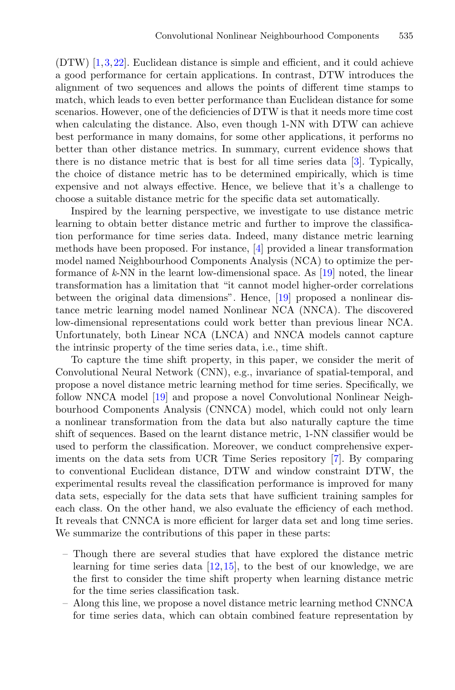(DTW) [\[1](#page-11-0)[,3](#page-11-1),[22\]](#page-12-0). Euclidean distance is simple and efficient, and it could achieve a good performance for certain applications. In contrast, DTW introduces the alignment of two sequences and allows the points of different time stamps to match, which leads to even better performance than Euclidean distance for some scenarios. However, one of the deficiencies of DTW is that it needs more time cost when calculating the distance. Also, even though 1-NN with DTW can achieve best performance in many domains, for some other applications, it performs no better than other distance metrics. In summary, current evidence shows that there is no distance metric that is best for all time series data [\[3\]](#page-11-1). Typically, the choice of distance metric has to be determined empirically, which is time expensive and not always effective. Hence, we believe that it's a challenge to choose a suitable distance metric for the specific data set automatically.

Inspired by the learning perspective, we investigate to use distance metric learning to obtain better distance metric and further to improve the classification performance for time series data. Indeed, many distance metric learning methods have been proposed. For instance, [\[4](#page-12-1)] provided a linear transformation model named Neighbourhood Components Analysis (NCA) to optimize the performance of *k*-NN in the learnt low-dimensional space. As [\[19](#page-12-2)] noted, the linear transformation has a limitation that "it cannot model higher-order correlations between the original data dimensions". Hence, [\[19\]](#page-12-2) proposed a nonlinear distance metric learning model named Nonlinear NCA (NNCA). The discovered low-dimensional representations could work better than previous linear NCA. Unfortunately, both Linear NCA (LNCA) and NNCA models cannot capture the intrinsic property of the time series data, i.e., time shift.

To capture the time shift property, in this paper, we consider the merit of Convolutional Neural Network (CNN), e.g., invariance of spatial-temporal, and propose a novel distance metric learning method for time series. Specifically, we follow NNCA model [\[19\]](#page-12-2) and propose a novel Convolutional Nonlinear Neighbourhood Components Analysis (CNNCA) model, which could not only learn a nonlinear transformation from the data but also naturally capture the time shift of sequences. Based on the learnt distance metric, 1-NN classifier would be used to perform the classification. Moreover, we conduct comprehensive experiments on the data sets from UCR Time Series repository [\[7](#page-12-3)]. By comparing to conventional Euclidean distance, DTW and window constraint DTW, the experimental results reveal the classification performance is improved for many data sets, especially for the data sets that have sufficient training samples for each class. On the other hand, we also evaluate the efficiency of each method. It reveals that CNNCA is more efficient for larger data set and long time series. We summarize the contributions of this paper in these parts:

- Though there are several studies that have explored the distance metric learning for time series data  $[12,15]$  $[12,15]$  $[12,15]$ , to the best of our knowledge, we are the first to consider the time shift property when learning distance metric for the time series classification task.
- Along this line, we propose a novel distance metric learning method CNNCA for time series data, which can obtain combined feature representation by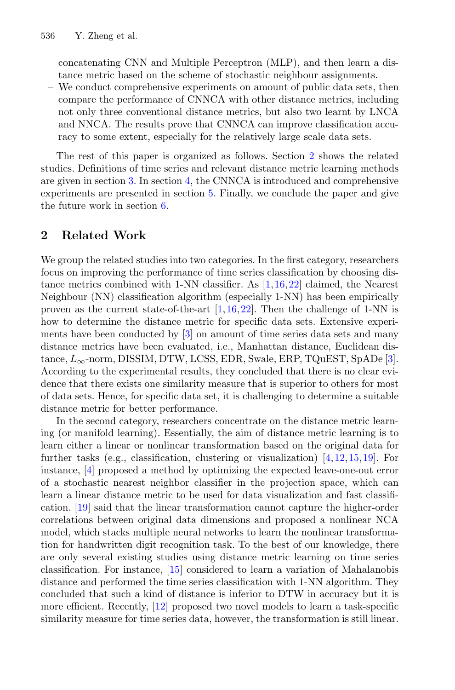concatenating CNN and Multiple Perceptron (MLP), and then learn a distance metric based on the scheme of stochastic neighbour assignments.

– We conduct comprehensive experiments on amount of public data sets, then compare the performance of CNNCA with other distance metrics, including not only three conventional distance metrics, but also two learnt by LNCA and NNCA. The results prove that CNNCA can improve classification accuracy to some extent, especially for the relatively large scale data sets.

The rest of this paper is organized as follows. Section [2](#page-2-0) shows the related studies. Definitions of time series and relevant distance metric learning methods are given in section [3.](#page-3-0) In section [4,](#page-5-0) the CNNCA is introduced and comprehensive experiments are presented in section [5.](#page-7-0) Finally, we conclude the paper and give the future work in section [6.](#page-11-2)

# <span id="page-2-0"></span>**2 Related Work**

We group the related studies into two categories. In the first category, researchers focus on improving the performance of time series classification by choosing distance metrics combined with 1-NN classifier. As [\[1,](#page-11-0)[16](#page-12-6)[,22\]](#page-12-0) claimed, the Nearest Neighbour (NN) classification algorithm (especially 1-NN) has been empirically proven as the current state-of-the-art  $[1,16,22]$  $[1,16,22]$  $[1,16,22]$  $[1,16,22]$ . Then the challenge of 1-NN is how to determine the distance metric for specific data sets. Extensive experiments have been conducted by [\[3\]](#page-11-1) on amount of time series data sets and many distance metrics have been evaluated, i.e., Manhattan distance, Euclidean distance,  $L_{\infty}$ -norm, DISSIM, DTW, LCSS, EDR, Swale, ERP, TQuEST, SpADe [\[3\]](#page-11-1). According to the experimental results, they concluded that there is no clear evidence that there exists one similarity measure that is superior to others for most of data sets. Hence, for specific data set, it is challenging to determine a suitable distance metric for better performance.

In the second category, researchers concentrate on the distance metric learning (or manifold learning). Essentially, the aim of distance metric learning is to learn either a linear or nonlinear transformation based on the original data for further tasks (e.g., classification, clustering or visualization) [\[4](#page-12-1)[,12](#page-12-4),[15,](#page-12-5)[19\]](#page-12-2). For instance, [\[4\]](#page-12-1) proposed a method by optimizing the expected leave-one-out error of a stochastic nearest neighbor classifier in the projection space, which can learn a linear distance metric to be used for data visualization and fast classification. [\[19\]](#page-12-2) said that the linear transformation cannot capture the higher-order correlations between original data dimensions and proposed a nonlinear NCA model, which stacks multiple neural networks to learn the nonlinear transformation for handwritten digit recognition task. To the best of our knowledge, there are only several existing studies using distance metric learning on time series classification. For instance, [\[15\]](#page-12-5) considered to learn a variation of Mahalanobis distance and performed the time series classification with 1-NN algorithm. They concluded that such a kind of distance is inferior to DTW in accuracy but it is more efficient. Recently, [\[12\]](#page-12-4) proposed two novel models to learn a task-specific similarity measure for time series data, however, the transformation is still linear.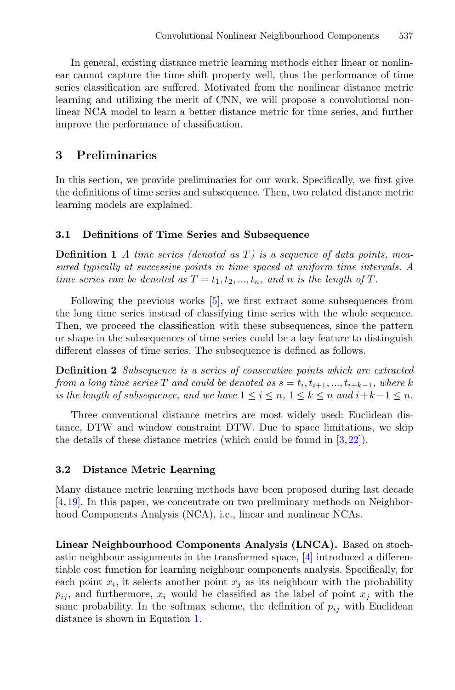In general, existing distance metric learning methods either linear or nonlinear cannot capture the time shift property well, thus the performance of time series classification are suffered. Motivated from the nonlinear distance metric learning and utilizing the merit of CNN, we will propose a convolutional nonlinear NCA model to learn a better distance metric for time series, and further improve the performance of classification.

# <span id="page-3-0"></span>**3 Preliminaries**

In this section, we provide preliminaries for our work. Specifically, we first give the definitions of time series and subsequence. Then, two related distance metric learning models are explained.

#### **3.1 Definitions of Time Series and Subsequence**

**Definition 1** *A time series (denoted as* T*) is a sequence of data points, measured typically at successive points in time spaced at uniform time intervals. A time series can be denoted as*  $T = t_1, t_2, ..., t_n$ , and *n is the length of*  $T$ *.* 

Following the previous works [\[5\]](#page-12-7), we first extract some subsequences from the long time series instead of classifying time series with the whole sequence. Then, we proceed the classification with these subsequences, since the pattern or shape in the subsequences of time series could be a key feature to distinguish different classes of time series. The subsequence is defined as follows.

**Definition 2** *Subsequence is a series of consecutive points which are extracted from a long time series* T *and could be denoted as*  $s = t_i, t_{i+1}, ..., t_{i+k-1}$ *, where* k *is the length of subsequence, and we have*  $1 \leq i \leq n, 1 \leq k \leq n$  *and*  $i+k-1 \leq n$ *.* 

Three conventional distance metrics are most widely used: Euclidean distance, DTW and window constraint DTW. Due to space limitations, we skip the details of these distance metrics (which could be found in [\[3,](#page-11-1)[22](#page-12-0)]).

## **3.2 Distance Metric Learning**

Many distance metric learning methods have been proposed during last decade [\[4](#page-12-1)[,19](#page-12-2)]. In this paper, we concentrate on two preliminary methods on Neighborhood Components Analysis (NCA), i.e., linear and nonlinear NCAs.

**Linear Neighbourhood Components Analysis (LNCA).** Based on stochastic neighbour assignments in the transformed space, [\[4\]](#page-12-1) introduced a differentiable cost function for learning neighbour components analysis. Specifically, for each point  $x_i$ , it selects another point  $x_j$  as its neighbour with the probability  $p_{ij}$ , and furthermore,  $x_i$  would be classified as the label of point  $x_j$  with the same probability. In the softmax scheme, the definition of  $p_{ij}$  with Euclidean distance is shown in Equation [1.](#page-4-0)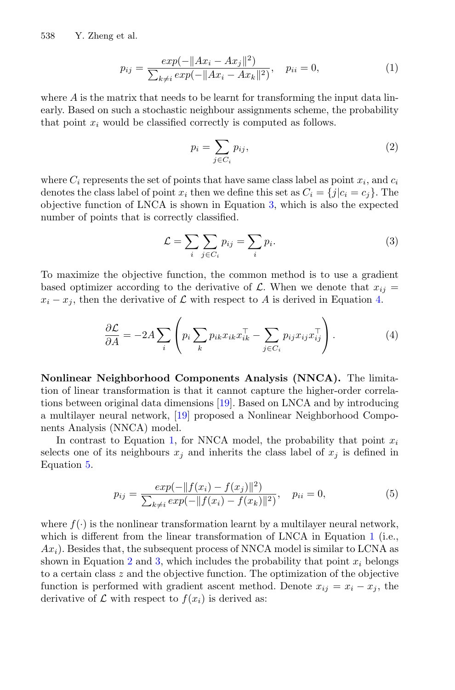<span id="page-4-0"></span>538 Y. Zheng et al.

<span id="page-4-4"></span>
$$
p_{ij} = \frac{exp(-||Ax_i - Ax_j||^2)}{\sum_{k \neq i} exp(-||Ax_i - Ax_k||^2)}, \quad p_{ii} = 0,
$$
\n(1)

where  $A$  is the matrix that needs to be learnt for transforming the input data linearly. Based on such a stochastic neighbour assignments scheme, the probability that point  $x_i$  would be classified correctly is computed as follows.

$$
p_i = \sum_{j \in C_i} p_{ij},\tag{2}
$$

where  $C_i$  represents the set of points that have same class label as point  $x_i$ , and  $c_i$ denotes the class label of point  $x_i$  then we define this set as  $C_i = \{j|c_i = c_j\}$ . The objective function of LNCA is shown in Equation [3,](#page-4-1) which is also the expected number of points that is correctly classified.

$$
\mathcal{L} = \sum_{i} \sum_{j \in C_i} p_{ij} = \sum_{i} p_i.
$$
 (3)

<span id="page-4-2"></span><span id="page-4-1"></span>To maximize the objective function, the common method is to use a gradient based optimizer according to the derivative of  $\mathcal{L}$ . When we denote that  $x_{ij} =$  $x_i - x_j$ , then the derivative of  $\mathcal L$  with respect to A is derived in Equation [4.](#page-4-2)

$$
\frac{\partial \mathcal{L}}{\partial A} = -2A \sum_{i} \left( p_i \sum_{k} p_{ik} x_{ik} x_{ik}^\top - \sum_{j \in C_i} p_{ij} x_{ij} x_{ij}^\top \right). \tag{4}
$$

**Nonlinear Neighborhood Components Analysis (NNCA).** The limitation of linear transformation is that it cannot capture the higher-order correlations between original data dimensions [\[19\]](#page-12-2). Based on LNCA and by introducing a multilayer neural network, [\[19\]](#page-12-2) proposed a Nonlinear Neighborhood Components Analysis (NNCA) model.

<span id="page-4-3"></span>In contrast to Equation [1,](#page-4-0) for NNCA model, the probability that point  $x_i$ selects one of its neighbours  $x_j$  and inherits the class label of  $x_j$  is defined in Equation [5.](#page-4-3)

$$
p_{ij} = \frac{exp(-||f(x_i) - f(x_j)||^2)}{\sum_{k \neq i} exp(-||f(x_i) - f(x_k)||^2)}, \quad p_{ii} = 0,
$$
\n(5)

where  $f(\cdot)$  is the nonlinear transformation learnt by a multilayer neural network, which is different from the linear transformation of LNCA in Equation [1](#page-4-0) (i.e.,  $Ax_i$ ). Besides that, the subsequent process of NNCA model is similar to LCNA as shown in Equation [2](#page-4-4) and [3,](#page-4-1) which includes the probability that point  $x_i$  belongs to a certain class z and the objective function. The optimization of the objective function is performed with gradient ascent method. Denote  $x_{ij} = x_i - x_j$ , the derivative of  $\mathcal L$  with respect to  $f(x_i)$  is derived as: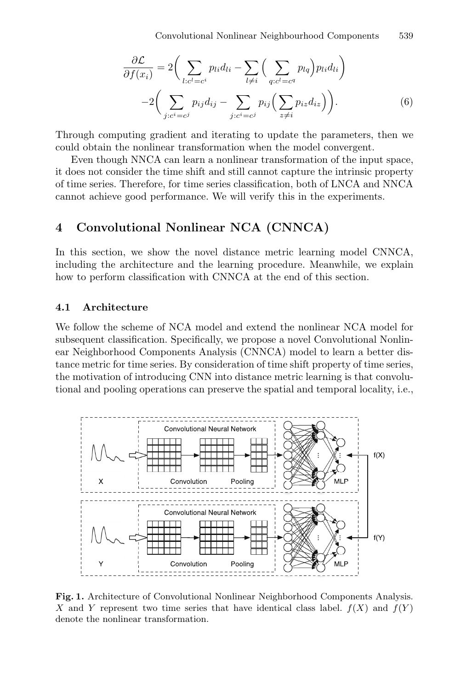<span id="page-5-2"></span>
$$
\frac{\partial \mathcal{L}}{\partial f(x_i)} = 2 \bigg( \sum_{l:c^l=c^i} p_{li} d_{li} - \sum_{l \neq i} \bigg( \sum_{q:c^l=c^q} p_{lq} \bigg) p_{li} d_{li} \bigg) - 2 \bigg( \sum_{j:c^i=c^j} p_{ij} d_{ij} - \sum_{j:c^i=c^j} p_{ij} \bigg( \sum_{z \neq i} p_{iz} d_{iz} \bigg) \bigg).
$$
(6)

Through computing gradient and iterating to update the parameters, then we could obtain the nonlinear transformation when the model convergent.

Even though NNCA can learn a nonlinear transformation of the input space, it does not consider the time shift and still cannot capture the intrinsic property of time series. Therefore, for time series classification, both of LNCA and NNCA cannot achieve good performance. We will verify this in the experiments.

## <span id="page-5-0"></span>**4 Convolutional Nonlinear NCA (CNNCA)**

In this section, we show the novel distance metric learning model CNNCA, including the architecture and the learning procedure. Meanwhile, we explain how to perform classification with CNNCA at the end of this section.

#### **4.1 Architecture**

We follow the scheme of NCA model and extend the nonlinear NCA model for subsequent classification. Specifically, we propose a novel Convolutional Nonlinear Neighborhood Components Analysis (CNNCA) model to learn a better distance metric for time series. By consideration of time shift property of time series, the motivation of introducing CNN into distance metric learning is that convolutional and pooling operations can preserve the spatial and temporal locality, i.e.,



<span id="page-5-1"></span>**Fig. 1.** Architecture of Convolutional Nonlinear Neighborhood Components Analysis. *X* and *Y* represent two time series that have identical class label.  $f(X)$  and  $f(Y)$ denote the nonlinear transformation.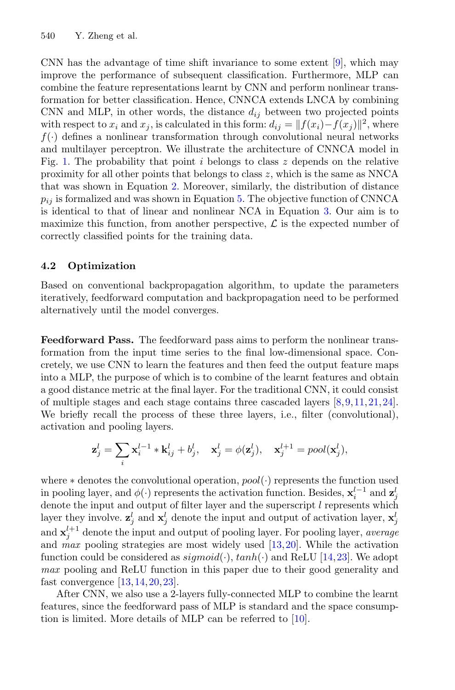CNN has the advantage of time shift invariance to some extent [\[9](#page-12-8)], which may improve the performance of subsequent classification. Furthermore, MLP can combine the feature representations learnt by CNN and perform nonlinear transformation for better classification. Hence, CNNCA extends LNCA by combining CNN and MLP, in other words, the distance  $d_{ij}$  between two projected points with respect to  $x_i$  and  $x_j$ , is calculated in this form:  $d_{ij} = ||f(x_i) - f(x_j)||^2$ , where  $f(\cdot)$  defines a nonlinear transformation through convolutional neural networks and multilayer perceptron. We illustrate the architecture of CNNCA model in Fig. [1.](#page-5-1) The probability that point i belongs to class  $z$  depends on the relative proximity for all other points that belongs to class  $z$ , which is the same as NNCA that was shown in Equation [2.](#page-4-4) Moreover, similarly, the distribution of distance  $p_{ij}$  is formalized and was shown in Equation [5.](#page-4-3) The objective function of CNNCA is identical to that of linear and nonlinear NCA in Equation [3.](#page-4-1) Our aim is to maximize this function, from another perspective,  $\mathcal L$  is the expected number of correctly classified points for the training data.

## **4.2 Optimization**

Based on conventional backpropagation algorithm, to update the parameters iteratively, feedforward computation and backpropagation need to be performed alternatively until the model converges.

**Feedforward Pass.** The feedforward pass aims to perform the nonlinear transformation from the input time series to the final low-dimensional space. Concretely, we use CNN to learn the features and then feed the output feature maps into a MLP, the purpose of which is to combine of the learnt features and obtain a good distance metric at the final layer. For the traditional CNN, it could consist of multiple stages and each stage contains three cascaded layers [\[8,](#page-12-9)[9,](#page-12-8)[11](#page-12-10)[,21,](#page-12-11)[24\]](#page-12-12). We briefly recall the process of these three layers, i.e., filter (convolutional), activation and pooling layers.

$$
\mathbf{z}_j^l = \sum_i \mathbf{x}_i^{l-1} * \mathbf{k}_{ij}^l + b_j^l, \quad \mathbf{x}_j^l = \phi(\mathbf{z}_j^l), \quad \mathbf{x}_j^{l+1} = pool(\mathbf{x}_j^l),
$$

where  $*$  denotes the convolutional operation,  $pool(\cdot)$  represents the function used in pooling layer, and  $\phi(\cdot)$  represents the activation function. Besides,  $\mathbf{x}_i^{l-1}$  and  $\mathbf{z}_j^l$ denote the input and output of filter layer and the superscript  $l$  represents which layer they involve.  $\mathbf{z}_j^l$  and  $\mathbf{x}_j^l$  denote the input and output of activation layer,  $\mathbf{x}_j^l$ and  $\mathbf{x}_j^{l+1}$  denote the input and output of pooling layer. For pooling layer, *average* and *max* pooling strategies are most widely used [\[13](#page-12-13)[,20\]](#page-12-14). While the activation function could be considered as  $sigmoid(\cdot)$ ,  $tanh(\cdot)$  and ReLU [\[14](#page-12-15)[,23](#page-12-16)]. We adopt *max* pooling and ReLU function in this paper due to their good generality and fast convergence  $[13, 14, 20, 23]$  $[13, 14, 20, 23]$  $[13, 14, 20, 23]$  $[13, 14, 20, 23]$  $[13, 14, 20, 23]$ .

After CNN, we also use a 2-layers fully-connected MLP to combine the learnt features, since the feedforward pass of MLP is standard and the space consumption is limited. More details of MLP can be referred to [\[10](#page-12-17)].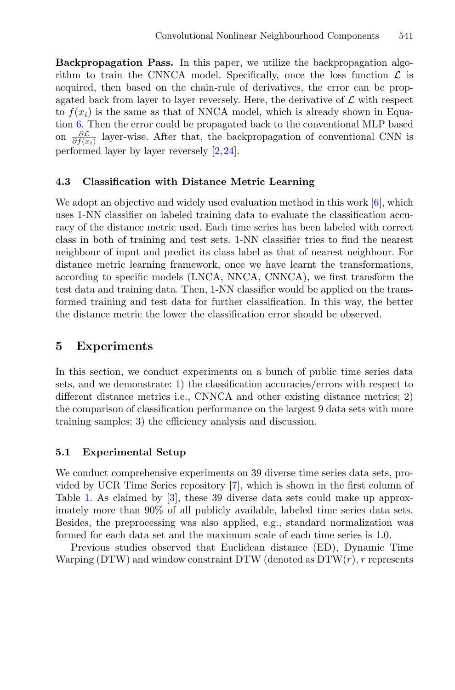**Backpropagation Pass.** In this paper, we utilize the backpropagation algorithm to train the CNNCA model. Specifically, once the loss function  $\mathcal{L}$  is acquired, then based on the chain-rule of derivatives, the error can be propagated back from layer to layer reversely. Here, the derivative of  $\mathcal L$  with respect to  $f(x_i)$  is the same as that of NNCA model, which is already shown in Equation [6.](#page-5-2) Then the error could be propagated back to the conventional MLP based on  $\frac{\partial \mathcal{L}}{\partial f(x_i)}$  layer-wise. After that, the backpropagation of conventional CNN is performed layer by layer reversely [\[2](#page-11-3)[,24](#page-12-12)].

#### **4.3 Classification with Distance Metric Learning**

We adopt an objective and widely used evaluation method in this work  $[6]$  $[6]$ , which uses 1-NN classifier on labeled training data to evaluate the classification accuracy of the distance metric used. Each time series has been labeled with correct class in both of training and test sets. 1-NN classifier tries to find the nearest neighbour of input and predict its class label as that of nearest neighbour. For distance metric learning framework, once we have learnt the transformations, according to specific models (LNCA, NNCA, CNNCA), we first transform the test data and training data. Then, 1-NN classifier would be applied on the transformed training and test data for further classification. In this way, the better the distance metric the lower the classification error should be observed.

### <span id="page-7-0"></span>**5 Experiments**

In this section, we conduct experiments on a bunch of public time series data sets, and we demonstrate: 1) the classification accuracies/errors with respect to different distance metrics i.e., CNNCA and other existing distance metrics; 2) the comparison of classification performance on the largest 9 data sets with more training samples; 3) the efficiency analysis and discussion.

#### **5.1 Experimental Setup**

We conduct comprehensive experiments on 39 diverse time series data sets, provided by UCR Time Series repository [\[7](#page-12-3)], which is shown in the first column of Table [1.](#page-8-0) As claimed by [\[3\]](#page-11-1), these 39 diverse data sets could make up approximately more than 90% of all publicly available, labeled time series data sets. Besides, the preprocessing was also applied, e.g., standard normalization was formed for each data set and the maximum scale of each time series is 1.0.

Previous studies observed that Euclidean distance (ED), Dynamic Time Warping (DTW) and window constraint DTW (denoted as  $DTW(r)$ , r represents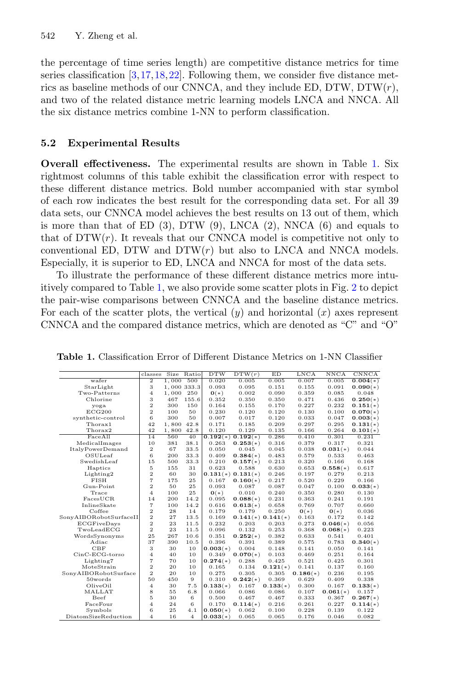the percentage of time series length) are competitive distance metrics for time series classification  $[3,17,18,22]$  $[3,17,18,22]$  $[3,17,18,22]$  $[3,17,18,22]$  $[3,17,18,22]$  $[3,17,18,22]$ . Following them, we consider five distance metrics as baseline methods of our CNNCA, and they include ED, DTW, DTW $(r)$ , and two of the related distance metric learning models LNCA and NNCA. All the six distance metrics combine 1-NN to perform classification.

#### **5.2 Experimental Results**

**Overall effectiveness.** The experimental results are shown in Table [1.](#page-8-0) Six rightmost columns of this table exhibit the classification error with respect to these different distance metrics. Bold number accompanied with star symbol of each row indicates the best result for the corresponding data set. For all 39 data sets, our CNNCA model achieves the best results on 13 out of them, which is more than that of ED  $(3)$ , DTW  $(9)$ , LNCA  $(2)$ , NNCA  $(6)$  and equals to that of  $DTW(r)$ . It reveals that our CNNCA model is competitive not only to conventional ED, DTW and  $DTW(r)$  but also to LNCA and NNCA models. Especially, it is superior to ED, LNCA and NNCA for most of the data sets.

To illustrate the performance of these different distance metrics more intuitively compared to Table [1,](#page-8-0) we also provide some scatter plots in Fig. [2](#page-9-0) to depict the pair-wise comparisons between CNNCA and the baseline distance metrics. For each of the scatter plots, the vertical  $(y)$  and horizontal  $(x)$  axes represent CNNCA and the compared distance metrics, which are denoted as "C" and "O"

|                         | classes                 | Size  | Ratio          | <b>DTW</b> | DTW(r)                | ED         | <b>LNCA</b> | NNCA            | <b>CNNCA</b> |
|-------------------------|-------------------------|-------|----------------|------------|-----------------------|------------|-------------|-----------------|--------------|
| wafer                   | $\overline{2}$          | 1.000 | 500            | 0.020      | 0.005                 | 0.005      | 0.007       | 0.005           | $0.004(*)$   |
| StarLight               | 3                       |       | 1,000 333.3    | 0.093      | 0.095                 | 0.151      | 0.155       | 0.091           | $0.090(*)$   |
| Two-Patterns            | $\overline{4}$          | 1,000 | 250            | $0(*)$     | 0.002                 | 0.090      | 0.359       | 0.085           | 0.048        |
| Chlorine                | 3                       | 467   | 155.6          | 0.352      | 0.350                 | 0.350      | 0.471       | 0.436           | $0.250(*)$   |
| yoga                    | $\overline{2}$          | 300   | 150            | 0.164      | 0.155                 | 0.170      | 0.227       | 0.232           | $0.151(*)$   |
| ECG200                  | $\overline{2}$          | 100   | 50             | 0.230      | 0.120                 | 0.120      | 0.130       | 0.100           | $0.070(*)$   |
| synthetic-control       | 6                       | 300   | 50             | 0.007      | 0.017                 | 0.120      | 0.033       | 0.047           | $0.003(*)$   |
| Thorax1                 | 42                      | 1,800 | 42.8           | 0.171      | 0.185                 | 0.209      | 0.297       | 0.295           | $0.131(*)$   |
| Thorax2                 | 42                      | 1,800 | 42.8           | 0.120      | 0.129                 | 0.135      | 0.166       | 0.264           | $0.101(*)$   |
| FaceAll                 | 14                      | 560   | 40             |            | $0.192(*)0.192(*)$    | 0.286      | 0.410       | 0.301           | 0.231        |
| MedicalImages           | 10                      | 381   | 38.1           | 0.263      | $0.253(*)$            | 0.316      | 0.379       | 0.317           | 0.321        |
| <b>ItalyPowerDemand</b> | $\overline{2}$          | 67    | 33.5           | 0.050      | 0.045                 | 0.045      | 0.038       | $0.031(*)$      | 0.044        |
| OSULeaf                 | 6                       | 200   | 33.3           | 0.409      | $0.384(*)$            | 0.483      | 0.579       | 0.533           | 0.463        |
| SwedishLeaf             | 15                      | 500   | 33.3           | 0.210      | $0.157(*)$            | 0.213      | 0.320       | 0.166           | 0.168        |
| Haptics                 | 5                       | 155   | 31             | 0.623      | 0.588                 | 0.630      | 0.653       | $0.558(*)$      | 0.617        |
| Lighting2               | $\overline{2}$          | 60    | 30             |            | $0.131(*)$ $0.131(*)$ | 0.246      | 0.197       | 0.279           | 0.213        |
| <b>FISH</b>             | $\overline{7}$          | 175   | 25             | 0.167      | $0.160(*)$            | 0.217      | 0.520       | 0.229           | 0.166        |
| Gun-Point               | $\overline{2}$          | 50    | 25             | 0.093      | 0.087                 | 0.087      | 0.047       | 0.100           | $0.033(*)$   |
| Trace                   | $\overline{4}$          | 100   | 25             | $0(*)$     | 0.010                 | 0.240      | 0.350       | 0.280           | 0.130        |
| FacesUCR                | 14                      | 200   | 14.2           | 0.095      | $0.088(*)$            | 0.231      | 0.363       | 0.241           | 0.191        |
| InlineSkate             | $\overline{7}$          | 100   | 14.2           | 0.616      | $0.613(*)$            | 0.658      | 0.769       | 0.707           | 0.660        |
| Coffee                  | $\overline{2}$          | 28    | 14             | 0.179      | 0.179                 | 0.250      | $0(*)$      | $\mathbf{0}(*)$ | 0.036        |
| SonyAIBORobotSurfaceII  | $\overline{\mathbf{2}}$ | 27    | 13.5           | 0.169      | $0.141(*)$ $0.141(*)$ |            | 0.163       | 0.172           | 0.142        |
| <b>ECGFiveDays</b>      | $\overline{2}$          | 23    | 11.5           | 0.232      | 0.203                 | 0.203      | 0.273       | $0.046(*)$      | 0.056        |
| TwoLeadECG              | $\overline{2}$          | 23    | 11.5           | 0.096      | 0.132                 | 0.253      | 0.368       | $0.068(*)$      | 0.223        |
| WordsSynonyms           | 25                      | 267   | 10.6           | 0.351      | $0.252(*)$            | 0.382      | 0.633       | 0.541           | 0.401        |
| Adiac                   | 37                      | 390   | 10.5           | 0.396      | 0.391                 | 0.389      | 0.575       | 0.783           | $0.340(*)$   |
| CBF                     | 3                       | 30    | 10             | $0.003(*)$ | 0.004                 | 0.148      | 0.141       | 0.050           | 0.141        |
| $CinC-ECG-torso$        | $\overline{4}$          | 40    | 10             | 0.349      | $0.070(*)$            | 0.103      | 0.469       | 0.251           | 0.164        |
| Lighting7               | $\overline{7}$          | 70    | 10             | $0.274(*)$ | 0.288                 | 0.425      | 0.521       | 0.425           | 0.301        |
| MoteStrain              | $\overline{2}$          | 20    | 10             | 0.165      | 0.134                 | $0.121(*)$ | 0.141       | 0.137           | 0.160        |
| SonyAIBORobotSurface    | $\overline{2}$          | 20    | 10             | 0.275      | 0.305                 | 0.305      | $0.186(*)$  | 0.236           | 0.195        |
| $50$ words              | 50                      | 450   | 9              | 0.310      | $0.242(*)$            | 0.369      | 0.629       | 0.409           | 0.338        |
| OliveOil                | $\overline{4}$          | 30    | 7.5            | $0.133(*)$ | 0.167                 | $0.133(*)$ | 0.300       | 0.167           | $0.133(*)$   |
| MALLAT                  | 8                       | 55    | $6.8$          | 0.066      | 0.086                 | 0.086      | 0.107       | $0.061(*)$      | 0.157        |
| Beef                    | 5                       | 30    | 6              | 0.500      | 0.467                 | 0.467      | 0.333       | 0.367           | $0.267(*)$   |
| FaceFour                | $\overline{4}$          | 24    | 6              | 0.170      | $0.114(*)$            | 0.216      | 0.261       | 0.227           | $0.114(*)$   |
| Symbols                 | 6                       | 25    | 4.1            | $0.050(*)$ | 0.062                 | 0.100      | 0.228       | 0.139           | 0.122        |
| DiatomSizeReduction     | $\overline{4}$          | 16    | $\overline{4}$ | $0.033(*)$ | 0.065                 | 0.065      | 0.176       | 0.046           | 0.082        |

<span id="page-8-0"></span>**Table 1.** Classification Error of Different Distance Metrics on 1-NN Classifier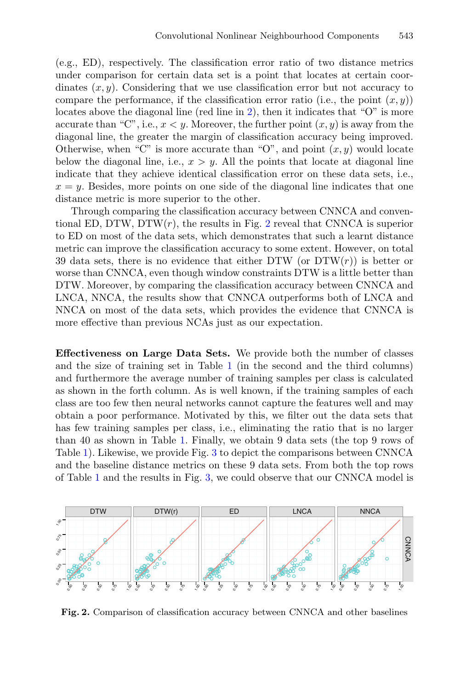(e.g., ED), respectively. The classification error ratio of two distance metrics under comparison for certain data set is a point that locates at certain coordinates  $(x, y)$ . Considering that we use classification error but not accuracy to compare the performance, if the classification error ratio (i.e., the point  $(x, y)$ ) locates above the diagonal line (red line in [2\)](#page-9-0), then it indicates that "O" is more accurate than "C", i.e.,  $x < y$ . Moreover, the further point  $(x, y)$  is away from the diagonal line, the greater the margin of classification accuracy being improved. Otherwise, when "C" is more accurate than "O", and point  $(x, y)$  would locate below the diagonal line, i.e.,  $x > y$ . All the points that locate at diagonal line indicate that they achieve identical classification error on these data sets, i.e.,  $x = y$ . Besides, more points on one side of the diagonal line indicates that one distance metric is more superior to the other.

Through comparing the classification accuracy between CNNCA and conventional ED, DTW, DTW $(r)$ , the results in Fig. [2](#page-9-0) reveal that CNNCA is superior to ED on most of the data sets, which demonstrates that such a learnt distance metric can improve the classification accuracy to some extent. However, on total 39 data sets, there is no evidence that either DTW (or  $DTW(r)$ ) is better or worse than CNNCA, even though window constraints DTW is a little better than DTW. Moreover, by comparing the classification accuracy between CNNCA and LNCA, NNCA, the results show that CNNCA outperforms both of LNCA and NNCA on most of the data sets, which provides the evidence that CNNCA is more effective than previous NCAs just as our expectation.

**Effectiveness on Large Data Sets.** We provide both the number of classes and the size of training set in Table [1](#page-8-0) (in the second and the third columns) and furthermore the average number of training samples per class is calculated as shown in the forth column. As is well known, if the training samples of each class are too few then neural networks cannot capture the features well and may obtain a poor performance. Motivated by this, we filter out the data sets that has few training samples per class, i.e., eliminating the ratio that is no larger than 40 as shown in Table [1.](#page-8-0) Finally, we obtain 9 data sets (the top 9 rows of Table [1\)](#page-8-0). Likewise, we provide Fig. [3](#page-10-0) to depict the comparisons between CNNCA and the baseline distance metrics on these 9 data sets. From both the top rows of Table [1](#page-8-0) and the results in Fig. [3,](#page-10-0) we could observe that our CNNCA model is



<span id="page-9-0"></span>**Fig. 2.** Comparison of classification accuracy between CNNCA and other baselines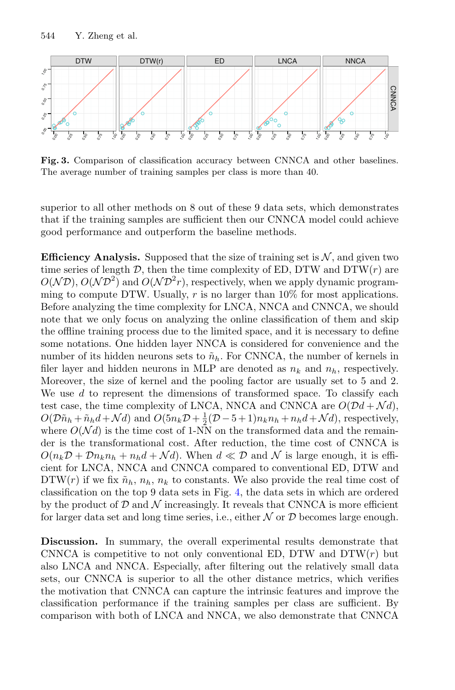

<span id="page-10-0"></span>**Fig. 3.** Comparison of classification accuracy between CNNCA and other baselines. The average number of training samples per class is more than 40.

superior to all other methods on 8 out of these 9 data sets, which demonstrates that if the training samples are sufficient then our CNNCA model could achieve good performance and outperform the baseline methods.

**Efficiency Analysis.** Supposed that the size of training set is  $N$ , and given two time series of length  $D$ , then the time complexity of ED, DTW and DTW $(r)$  are  $O(N\mathcal{D})$ ,  $O(N\mathcal{D}^2)$  and  $O(N\mathcal{D}^2r)$ , respectively, when we apply dynamic programming to compute DTW. Usually,  $r$  is no larger than  $10\%$  for most applications. Before analyzing the time complexity for LNCA, NNCA and CNNCA, we should note that we only focus on analyzing the online classification of them and skip the offline training process due to the limited space, and it is necessary to define some notations. One hidden layer NNCA is considered for convenience and the number of its hidden neurons sets to  $\tilde{n}_h$ . For CNNCA, the number of kernels in filer layer and hidden neurons in MLP are denoted as  $n_k$  and  $n_h$ , respectively. Moreover, the size of kernel and the pooling factor are usually set to 5 and 2. We use  $d$  to represent the dimensions of transformed space. To classify each test case, the time complexity of LNCA, NNCA and CNNCA are  $O(\mathcal{D}d + \mathcal{N}d)$ ,  $O(D\tilde{n}_h + \tilde{n}_h d + \mathcal{N}d)$  and  $O(5n_k \mathcal{D} + \frac{1}{2}(\mathcal{D} - 5 + 1)n_k n_h + n_h d + \mathcal{N}d)$ , respectively, where  $O(Nd)$  is the time cost of 1-NN on the transformed data and the remainder is the transformational cost. After reduction, the time cost of CNNCA is  $O(n_k\mathcal{D} + \mathcal{D}n_kn_h + n_hd + \mathcal{N}d)$ . When  $d \ll \mathcal{D}$  and  $\mathcal{N}$  is large enough, it is efficient for LNCA, NNCA and CNNCA compared to conventional ED, DTW and  $DTW(r)$  if we fix  $\tilde{n}_h$ ,  $n_h$ ,  $n_k$  to constants. We also provide the real time cost of classification on the top 9 data sets in Fig. [4,](#page-11-4) the data sets in which are ordered by the product of  $\mathcal D$  and  $\mathcal N$  increasingly. It reveals that CNNCA is more efficient for larger data set and long time series, i.e., either  $N$  or  $D$  becomes large enough.

**Discussion.** In summary, the overall experimental results demonstrate that CNNCA is competitive to not only conventional ED, DTW and  $DTW(r)$  but also LNCA and NNCA. Especially, after filtering out the relatively small data sets, our CNNCA is superior to all the other distance metrics, which verifies the motivation that CNNCA can capture the intrinsic features and improve the classification performance if the training samples per class are sufficient. By comparison with both of LNCA and NNCA, we also demonstrate that CNNCA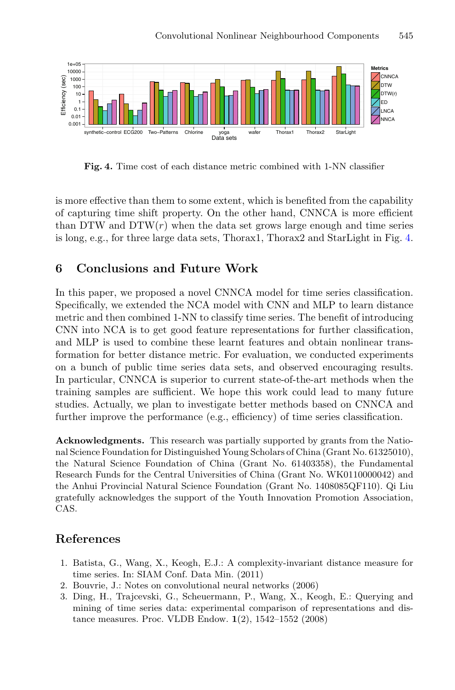

<span id="page-11-4"></span>**Fig. 4.** Time cost of each distance metric combined with 1-NN classifier

is more effective than them to some extent, which is benefited from the capability of capturing time shift property. On the other hand, CNNCA is more efficient than DTW and  $DTW(r)$  when the data set grows large enough and time series is long, e.g., for three large data sets, Thorax1, Thorax2 and StarLight in Fig. [4.](#page-11-4)

# <span id="page-11-2"></span>**6 Conclusions and Future Work**

In this paper, we proposed a novel CNNCA model for time series classification. Specifically, we extended the NCA model with CNN and MLP to learn distance metric and then combined 1-NN to classify time series. The benefit of introducing CNN into NCA is to get good feature representations for further classification, and MLP is used to combine these learnt features and obtain nonlinear transformation for better distance metric. For evaluation, we conducted experiments on a bunch of public time series data sets, and observed encouraging results. In particular, CNNCA is superior to current state-of-the-art methods when the training samples are sufficient. We hope this work could lead to many future studies. Actually, we plan to investigate better methods based on CNNCA and further improve the performance (e.g., efficiency) of time series classification.

**Acknowledgments.** This research was partially supported by grants from the National Science Foundation for Distinguished Young Scholars of China (Grant No. 61325010), the Natural Science Foundation of China (Grant No. 61403358), the Fundamental Research Funds for the Central Universities of China (Grant No. WK0110000042) and the Anhui Provincial Natural Science Foundation (Grant No. 1408085QF110). Qi Liu gratefully acknowledges the support of the Youth Innovation Promotion Association, CAS.

# <span id="page-11-0"></span>**References**

- 1. Batista, G., Wang, X., Keogh, E.J.: A complexity-invariant distance measure for time series. In: SIAM Conf. Data Min. (2011)
- <span id="page-11-3"></span>2. Bouvrie, J.: Notes on convolutional neural networks (2006)
- <span id="page-11-1"></span>3. Ding, H., Trajcevski, G., Scheuermann, P., Wang, X., Keogh, E.: Querying and mining of time series data: experimental comparison of representations and distance measures. Proc. VLDB Endow. **1**(2), 1542–1552 (2008)